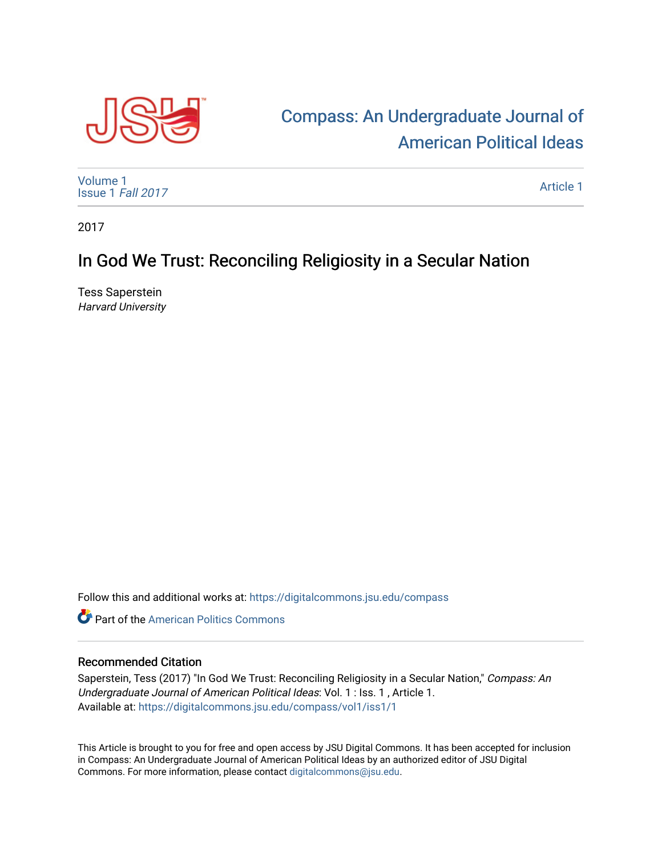

## [Compass: An Undergraduate Journal of](https://digitalcommons.jsu.edu/compass)  [American Political Ideas](https://digitalcommons.jsu.edu/compass)

[Volume 1](https://digitalcommons.jsu.edu/compass/vol1) [Issue 1](https://digitalcommons.jsu.edu/compass/vol1/iss1) Fall 2017

[Article 1](https://digitalcommons.jsu.edu/compass/vol1/iss1/1) 

2017

## In God We Trust: Reconciling Religiosity in a Secular Nation

Tess Saperstein Harvard University

Follow this and additional works at: [https://digitalcommons.jsu.edu/compass](https://digitalcommons.jsu.edu/compass?utm_source=digitalcommons.jsu.edu%2Fcompass%2Fvol1%2Fiss1%2F1&utm_medium=PDF&utm_campaign=PDFCoverPages)

**C** Part of the American Politics Commons

## Recommended Citation

Saperstein, Tess (2017) "In God We Trust: Reconciling Religiosity in a Secular Nation," Compass: An Undergraduate Journal of American Political Ideas: Vol. 1 : Iss. 1 , Article 1. Available at: [https://digitalcommons.jsu.edu/compass/vol1/iss1/1](https://digitalcommons.jsu.edu/compass/vol1/iss1/1?utm_source=digitalcommons.jsu.edu%2Fcompass%2Fvol1%2Fiss1%2F1&utm_medium=PDF&utm_campaign=PDFCoverPages)

This Article is brought to you for free and open access by JSU Digital Commons. It has been accepted for inclusion in Compass: An Undergraduate Journal of American Political Ideas by an authorized editor of JSU Digital Commons. For more information, please contact [digitalcommons@jsu.edu.](mailto:digitalcommons@jsu.edu)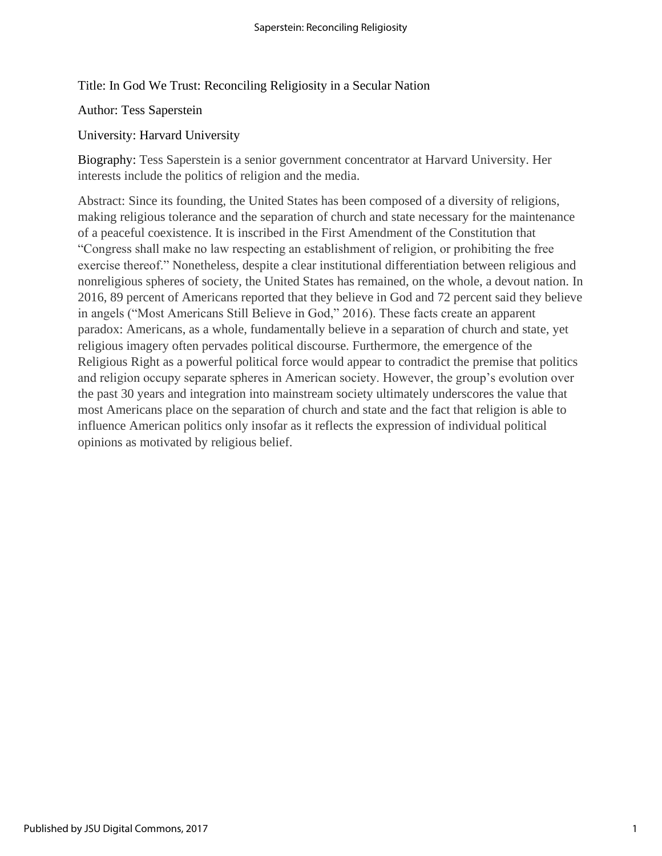Title: In God We Trust: Reconciling Religiosity in a Secular Nation

Author: Tess Saperstein

University: Harvard University

Biography: Tess Saperstein is a senior government concentrator at Harvard University. Her interests include the politics of religion and the media.

Abstract: Since its founding, the United States has been composed of a diversity of religions, making religious tolerance and the separation of church and state necessary for the maintenance of a peaceful coexistence. It is inscribed in the First Amendment of the Constitution that "Congress shall make no law respecting an establishment of religion, or prohibiting the free exercise thereof." Nonetheless, despite a clear institutional differentiation between religious and nonreligious spheres of society, the United States has remained, on the whole, a devout nation. In 2016, 89 percent of Americans reported that they believe in God and 72 percent said they believe in angels ("Most Americans Still Believe in God," 2016). These facts create an apparent paradox: Americans, as a whole, fundamentally believe in a separation of church and state, yet religious imagery often pervades political discourse. Furthermore, the emergence of the Religious Right as a powerful political force would appear to contradict the premise that politics and religion occupy separate spheres in American society. However, the group's evolution over the past 30 years and integration into mainstream society ultimately underscores the value that most Americans place on the separation of church and state and the fact that religion is able to influence American politics only insofar as it reflects the expression of individual political opinions as motivated by religious belief.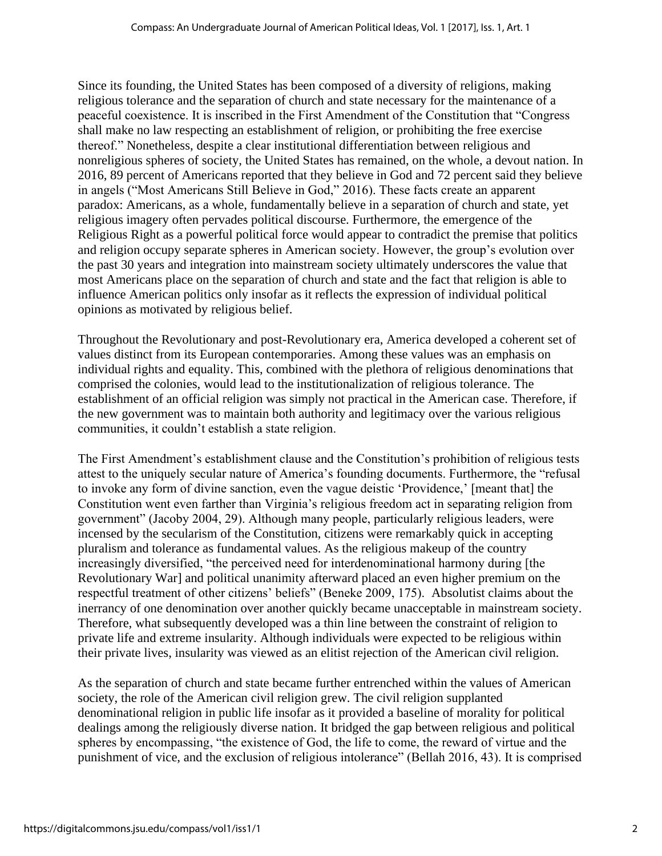Since its founding, the United States has been composed of a diversity of religions, making religious tolerance and the separation of church and state necessary for the maintenance of a peaceful coexistence. It is inscribed in the First Amendment of the Constitution that "Congress shall make no law respecting an establishment of religion, or prohibiting the free exercise thereof." Nonetheless, despite a clear institutional differentiation between religious and nonreligious spheres of society, the United States has remained, on the whole, a devout nation. In 2016, 89 percent of Americans reported that they believe in God and 72 percent said they believe in angels ("Most Americans Still Believe in God," 2016). These facts create an apparent paradox: Americans, as a whole, fundamentally believe in a separation of church and state, yet religious imagery often pervades political discourse. Furthermore, the emergence of the Religious Right as a powerful political force would appear to contradict the premise that politics and religion occupy separate spheres in American society. However, the group's evolution over the past 30 years and integration into mainstream society ultimately underscores the value that most Americans place on the separation of church and state and the fact that religion is able to influence American politics only insofar as it reflects the expression of individual political opinions as motivated by religious belief.

Throughout the Revolutionary and post-Revolutionary era, America developed a coherent set of values distinct from its European contemporaries. Among these values was an emphasis on individual rights and equality. This, combined with the plethora of religious denominations that comprised the colonies, would lead to the institutionalization of religious tolerance. The establishment of an official religion was simply not practical in the American case. Therefore, if the new government was to maintain both authority and legitimacy over the various religious communities, it couldn't establish a state religion.

The First Amendment's establishment clause and the Constitution's prohibition of religious tests attest to the uniquely secular nature of America's founding documents. Furthermore, the "refusal to invoke any form of divine sanction, even the vague deistic 'Providence,' [meant that] the Constitution went even farther than Virginia's religious freedom act in separating religion from government" (Jacoby 2004, 29). Although many people, particularly religious leaders, were incensed by the secularism of the Constitution, citizens were remarkably quick in accepting pluralism and tolerance as fundamental values. As the religious makeup of the country increasingly diversified, "the perceived need for interdenominational harmony during [the Revolutionary War] and political unanimity afterward placed an even higher premium on the respectful treatment of other citizens' beliefs" (Beneke 2009, 175). Absolutist claims about the inerrancy of one denomination over another quickly became unacceptable in mainstream society. Therefore, what subsequently developed was a thin line between the constraint of religion to private life and extreme insularity. Although individuals were expected to be religious within their private lives, insularity was viewed as an elitist rejection of the American civil religion.

As the separation of church and state became further entrenched within the values of American society, the role of the American civil religion grew. The civil religion supplanted denominational religion in public life insofar as it provided a baseline of morality for political dealings among the religiously diverse nation. It bridged the gap between religious and political spheres by encompassing, "the existence of God, the life to come, the reward of virtue and the punishment of vice, and the exclusion of religious intolerance" (Bellah 2016, 43). It is comprised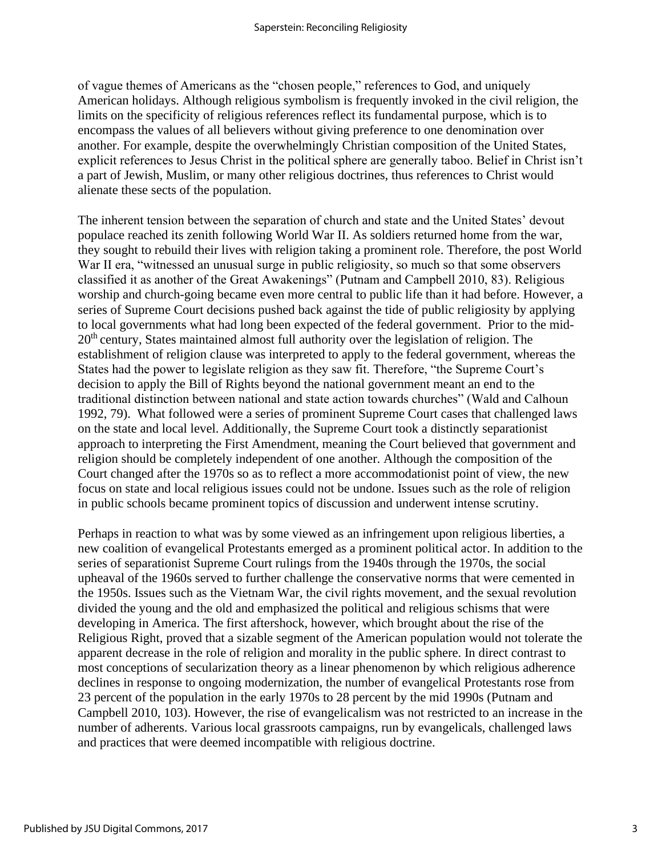of vague themes of Americans as the "chosen people," references to God, and uniquely American holidays. Although religious symbolism is frequently invoked in the civil religion, the limits on the specificity of religious references reflect its fundamental purpose, which is to encompass the values of all believers without giving preference to one denomination over another. For example, despite the overwhelmingly Christian composition of the United States, explicit references to Jesus Christ in the political sphere are generally taboo. Belief in Christ isn't a part of Jewish, Muslim, or many other religious doctrines, thus references to Christ would alienate these sects of the population.

The inherent tension between the separation of church and state and the United States' devout populace reached its zenith following World War II. As soldiers returned home from the war, they sought to rebuild their lives with religion taking a prominent role. Therefore, the post World War II era, "witnessed an unusual surge in public religiosity, so much so that some observers classified it as another of the Great Awakenings" (Putnam and Campbell 2010, 83). Religious worship and church-going became even more central to public life than it had before. However, a series of Supreme Court decisions pushed back against the tide of public religiosity by applying to local governments what had long been expected of the federal government. Prior to the mid-20th century, States maintained almost full authority over the legislation of religion. The establishment of religion clause was interpreted to apply to the federal government, whereas the States had the power to legislate religion as they saw fit. Therefore, "the Supreme Court's decision to apply the Bill of Rights beyond the national government meant an end to the traditional distinction between national and state action towards churches" (Wald and Calhoun 1992, 79). What followed were a series of prominent Supreme Court cases that challenged laws on the state and local level. Additionally, the Supreme Court took a distinctly separationist approach to interpreting the First Amendment, meaning the Court believed that government and religion should be completely independent of one another. Although the composition of the Court changed after the 1970s so as to reflect a more accommodationist point of view, the new focus on state and local religious issues could not be undone. Issues such as the role of religion in public schools became prominent topics of discussion and underwent intense scrutiny.

Perhaps in reaction to what was by some viewed as an infringement upon religious liberties, a new coalition of evangelical Protestants emerged as a prominent political actor. In addition to the series of separationist Supreme Court rulings from the 1940s through the 1970s, the social upheaval of the 1960s served to further challenge the conservative norms that were cemented in the 1950s. Issues such as the Vietnam War, the civil rights movement, and the sexual revolution divided the young and the old and emphasized the political and religious schisms that were developing in America. The first aftershock, however, which brought about the rise of the Religious Right, proved that a sizable segment of the American population would not tolerate the apparent decrease in the role of religion and morality in the public sphere. In direct contrast to most conceptions of secularization theory as a linear phenomenon by which religious adherence declines in response to ongoing modernization, the number of evangelical Protestants rose from 23 percent of the population in the early 1970s to 28 percent by the mid 1990s (Putnam and Campbell 2010, 103). However, the rise of evangelicalism was not restricted to an increase in the number of adherents. Various local grassroots campaigns, run by evangelicals, challenged laws and practices that were deemed incompatible with religious doctrine.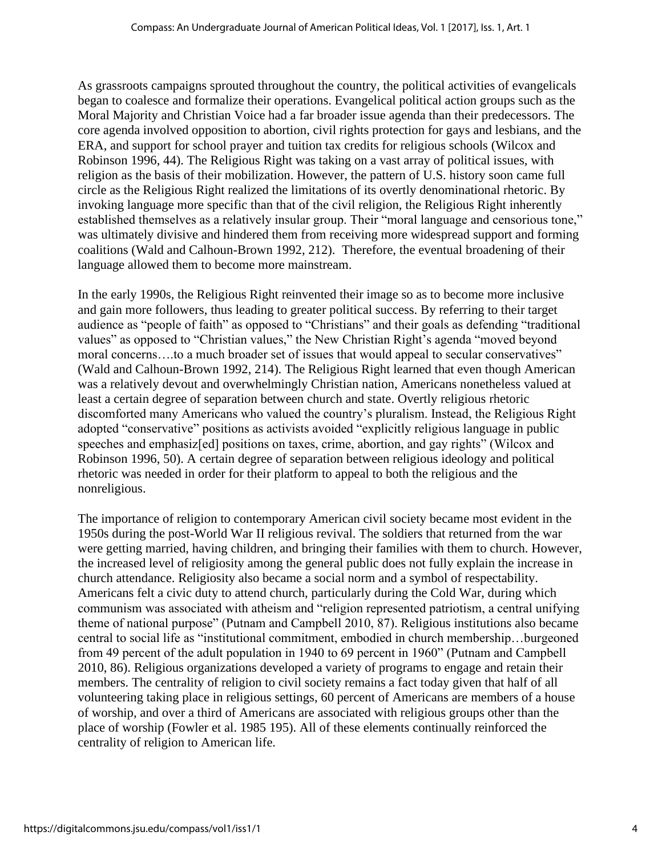As grassroots campaigns sprouted throughout the country, the political activities of evangelicals began to coalesce and formalize their operations. Evangelical political action groups such as the Moral Majority and Christian Voice had a far broader issue agenda than their predecessors. The core agenda involved opposition to abortion, civil rights protection for gays and lesbians, and the ERA, and support for school prayer and tuition tax credits for religious schools (Wilcox and Robinson 1996, 44). The Religious Right was taking on a vast array of political issues, with religion as the basis of their mobilization. However, the pattern of U.S. history soon came full circle as the Religious Right realized the limitations of its overtly denominational rhetoric. By invoking language more specific than that of the civil religion, the Religious Right inherently established themselves as a relatively insular group. Their "moral language and censorious tone," was ultimately divisive and hindered them from receiving more widespread support and forming coalitions (Wald and Calhoun-Brown 1992, 212). Therefore, the eventual broadening of their language allowed them to become more mainstream.

In the early 1990s, the Religious Right reinvented their image so as to become more inclusive and gain more followers, thus leading to greater political success. By referring to their target audience as "people of faith" as opposed to "Christians" and their goals as defending "traditional values" as opposed to "Christian values," the New Christian Right's agenda "moved beyond moral concerns....to a much broader set of issues that would appeal to secular conservatives" (Wald and Calhoun-Brown 1992, 214). The Religious Right learned that even though American was a relatively devout and overwhelmingly Christian nation, Americans nonetheless valued at least a certain degree of separation between church and state. Overtly religious rhetoric discomforted many Americans who valued the country's pluralism. Instead, the Religious Right adopted "conservative" positions as activists avoided "explicitly religious language in public speeches and emphasiz[ed] positions on taxes, crime, abortion, and gay rights" (Wilcox and Robinson 1996, 50). A certain degree of separation between religious ideology and political rhetoric was needed in order for their platform to appeal to both the religious and the nonreligious.

The importance of religion to contemporary American civil society became most evident in the 1950s during the post-World War II religious revival. The soldiers that returned from the war were getting married, having children, and bringing their families with them to church. However, the increased level of religiosity among the general public does not fully explain the increase in church attendance. Religiosity also became a social norm and a symbol of respectability. Americans felt a civic duty to attend church, particularly during the Cold War, during which communism was associated with atheism and "religion represented patriotism, a central unifying theme of national purpose" (Putnam and Campbell 2010, 87). Religious institutions also became central to social life as "institutional commitment, embodied in church membership…burgeoned from 49 percent of the adult population in 1940 to 69 percent in 1960" (Putnam and Campbell 2010, 86). Religious organizations developed a variety of programs to engage and retain their members. The centrality of religion to civil society remains a fact today given that half of all volunteering taking place in religious settings, 60 percent of Americans are members of a house of worship, and over a third of Americans are associated with religious groups other than the place of worship (Fowler et al. 1985 195). All of these elements continually reinforced the centrality of religion to American life.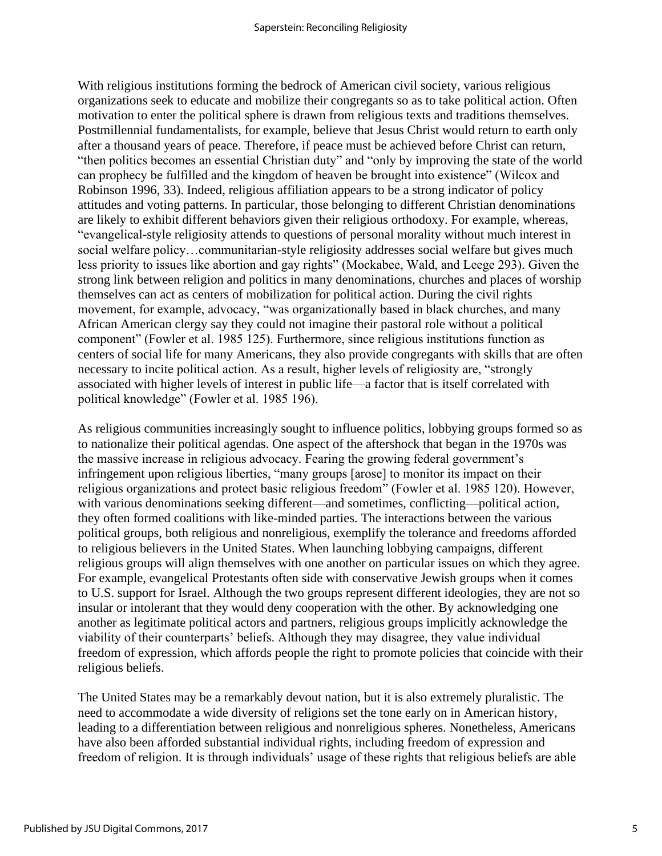With religious institutions forming the bedrock of American civil society, various religious organizations seek to educate and mobilize their congregants so as to take political action. Often motivation to enter the political sphere is drawn from religious texts and traditions themselves. Postmillennial fundamentalists, for example, believe that Jesus Christ would return to earth only after a thousand years of peace. Therefore, if peace must be achieved before Christ can return, "then politics becomes an essential Christian duty" and "only by improving the state of the world can prophecy be fulfilled and the kingdom of heaven be brought into existence" (Wilcox and Robinson 1996, 33). Indeed, religious affiliation appears to be a strong indicator of policy attitudes and voting patterns. In particular, those belonging to different Christian denominations are likely to exhibit different behaviors given their religious orthodoxy. For example, whereas, "evangelical-style religiosity attends to questions of personal morality without much interest in social welfare policy…communitarian-style religiosity addresses social welfare but gives much less priority to issues like abortion and gay rights" (Mockabee, Wald, and Leege 293). Given the strong link between religion and politics in many denominations, churches and places of worship themselves can act as centers of mobilization for political action. During the civil rights movement, for example, advocacy, "was organizationally based in black churches, and many African American clergy say they could not imagine their pastoral role without a political component" (Fowler et al. 1985 125). Furthermore, since religious institutions function as centers of social life for many Americans, they also provide congregants with skills that are often necessary to incite political action. As a result, higher levels of religiosity are, "strongly associated with higher levels of interest in public life—a factor that is itself correlated with political knowledge" (Fowler et al. 1985 196).

As religious communities increasingly sought to influence politics, lobbying groups formed so as to nationalize their political agendas. One aspect of the aftershock that began in the 1970s was the massive increase in religious advocacy. Fearing the growing federal government's infringement upon religious liberties, "many groups [arose] to monitor its impact on their religious organizations and protect basic religious freedom" (Fowler et al. 1985 120). However, with various denominations seeking different—and sometimes, conflicting—political action, they often formed coalitions with like-minded parties. The interactions between the various political groups, both religious and nonreligious, exemplify the tolerance and freedoms afforded to religious believers in the United States. When launching lobbying campaigns, different religious groups will align themselves with one another on particular issues on which they agree. For example, evangelical Protestants often side with conservative Jewish groups when it comes to U.S. support for Israel. Although the two groups represent different ideologies, they are not so insular or intolerant that they would deny cooperation with the other. By acknowledging one another as legitimate political actors and partners, religious groups implicitly acknowledge the viability of their counterparts' beliefs. Although they may disagree, they value individual freedom of expression, which affords people the right to promote policies that coincide with their religious beliefs.

The United States may be a remarkably devout nation, but it is also extremely pluralistic. The need to accommodate a wide diversity of religions set the tone early on in American history, leading to a differentiation between religious and nonreligious spheres. Nonetheless, Americans have also been afforded substantial individual rights, including freedom of expression and freedom of religion. It is through individuals' usage of these rights that religious beliefs are able